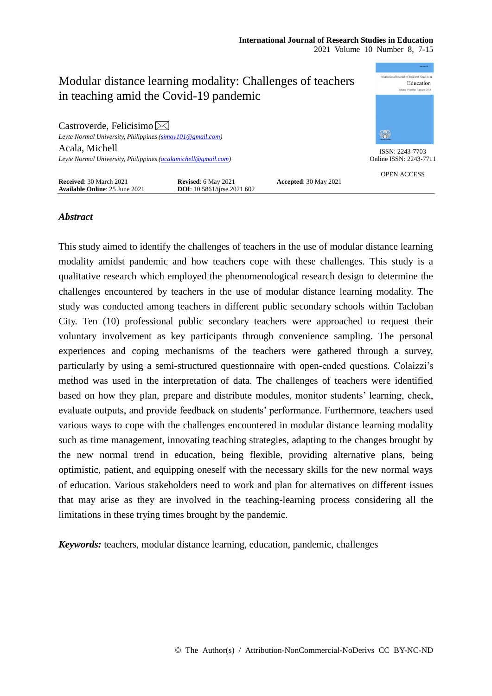

## *Abstract*

This study aimed to identify the challenges of teachers in the use of modular distance learning modality amidst pandemic and how teachers cope with these challenges. This study is a qualitative research which employed the phenomenological research design to determine the challenges encountered by teachers in the use of modular distance learning modality. The study was conducted among teachers in different public secondary schools within Tacloban City. Ten (10) professional public secondary teachers were approached to request their voluntary involvement as key participants through convenience sampling. The personal experiences and coping mechanisms of the teachers were gathered through a survey, particularly by using a semi-structured questionnaire with open-ended questions. Colaizzi's method was used in the interpretation of data. The challenges of teachers were identified based on how they plan, prepare and distribute modules, monitor students' learning, check, evaluate outputs, and provide feedback on students' performance. Furthermore, teachers used various ways to cope with the challenges encountered in modular distance learning modality such as time management, innovating teaching strategies, adapting to the changes brought by the new normal trend in education, being flexible, providing alternative plans, being optimistic, patient, and equipping oneself with the necessary skills for the new normal ways of education. Various stakeholders need to work and plan for alternatives on different issues that may arise as they are involved in the teaching-learning process considering all the limitations in these trying times brought by the pandemic.

*Keywords:* teachers, modular distance learning, education, pandemic, challenges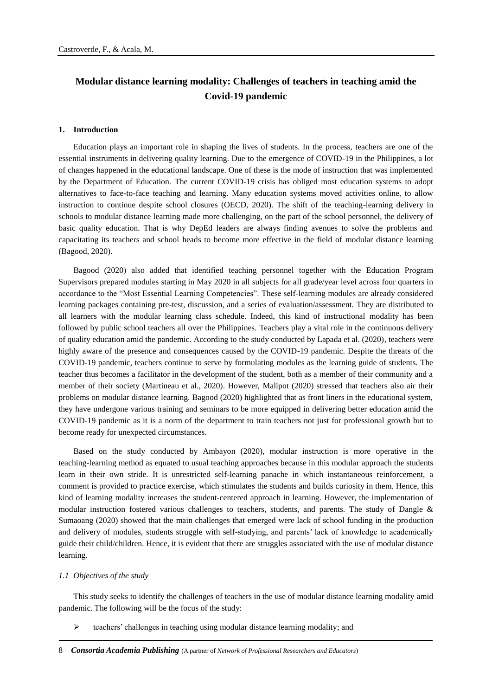# **Modular distance learning modality: Challenges of teachers in teaching amid the Covid-19 pandemic**

#### **1. Introduction**

Education plays an important role in shaping the lives of students. In the process, teachers are one of the essential instruments in delivering quality learning. Due to the emergence of COVID-19 in the Philippines, a lot of changes happened in the educational landscape. One of these is the mode of instruction that was implemented by the Department of Education. The current COVID-19 crisis has obliged most education systems to adopt alternatives to face-to-face teaching and learning. Many education systems moved activities online, to allow instruction to continue despite school closures (OECD, 2020). The shift of the teaching-learning delivery in schools to modular distance learning made more challenging, on the part of the school personnel, the delivery of basic quality education. That is why DepEd leaders are always finding avenues to solve the problems and capacitating its teachers and school heads to become more effective in the field of modular distance learning (Bagood, 2020).

Bagood (2020) also added that identified teaching personnel together with the Education Program Supervisors prepared modules starting in May 2020 in all subjects for all grade/year level across four quarters in accordance to the "Most Essential Learning Competencies". These self-learning modules are already considered learning packages containing pre-test, discussion, and a series of evaluation/assessment. They are distributed to all learners with the modular learning class schedule. Indeed, this kind of instructional modality has been followed by public school teachers all over the Philippines. Teachers play a vital role in the continuous delivery of quality education amid the pandemic. According to the study conducted by Lapada et al. (2020), teachers were highly aware of the presence and consequences caused by the COVID-19 pandemic. Despite the threats of the COVID-19 pandemic, teachers continue to serve by formulating modules as the learning guide of students. The teacher thus becomes a facilitator in the development of the student, both as a member of their community and a member of their society (Martineau et al., 2020). However, Malipot (2020) stressed that teachers also air their problems on modular distance learning. Bagood (2020) highlighted that as front liners in the educational system, they have undergone various training and seminars to be more equipped in delivering better education amid the COVID-19 pandemic as it is a norm of the department to train teachers not just for professional growth but to become ready for unexpected circumstances.

Based on the study conducted by Ambayon (2020), modular instruction is more operative in the teaching-learning method as equated to usual teaching approaches because in this modular approach the students learn in their own stride. It is unrestricted self-learning panache in which instantaneous reinforcement, a comment is provided to practice exercise, which stimulates the students and builds curiosity in them. Hence, this kind of learning modality increases the student-centered approach in learning. However, the implementation of modular instruction fostered various challenges to teachers, students, and parents. The study of Dangle & Sumaoang (2020) showed that the main challenges that emerged were lack of school funding in the production and delivery of modules, students struggle with self-studying, and parents' lack of knowledge to academically guide their child/children. Hence, it is evident that there are struggles associated with the use of modular distance learning.

### *1.1 Objectives of the study*

This study seeks to identify the challenges of teachers in the use of modular distance learning modality amid pandemic. The following will be the focus of the study:

 $\triangleright$  teachers' challenges in teaching using modular distance learning modality; and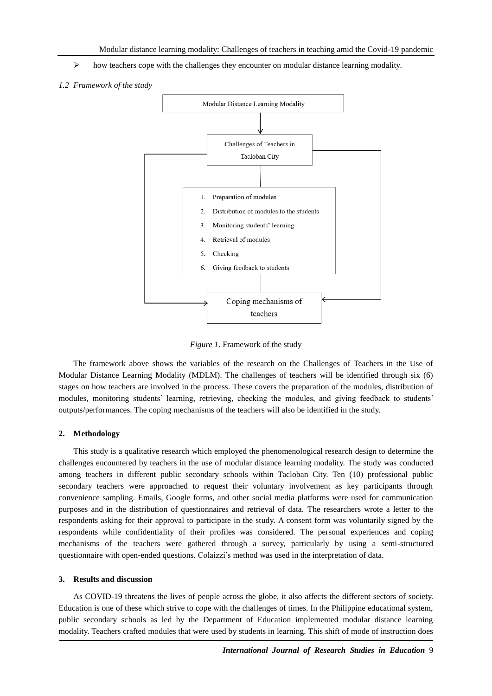- $\triangleright$  how teachers cope with the challenges they encounter on modular distance learning modality.
- *1.2 Framework of the study*



*Figure 1*. Framework of the study

The framework above shows the variables of the research on the Challenges of Teachers in the Use of Modular Distance Learning Modality (MDLM). The challenges of teachers will be identified through six (6) stages on how teachers are involved in the process. These covers the preparation of the modules, distribution of modules, monitoring students' learning, retrieving, checking the modules, and giving feedback to students' outputs/performances. The coping mechanisms of the teachers will also be identified in the study.

## **2. Methodology**

This study is a qualitative research which employed the phenomenological research design to determine the challenges encountered by teachers in the use of modular distance learning modality. The study was conducted among teachers in different public secondary schools within Tacloban City. Ten (10) professional public secondary teachers were approached to request their voluntary involvement as key participants through convenience sampling. Emails, Google forms, and other social media platforms were used for communication purposes and in the distribution of questionnaires and retrieval of data. The researchers wrote a letter to the respondents asking for their approval to participate in the study. A consent form was voluntarily signed by the respondents while confidentiality of their profiles was considered. The personal experiences and coping mechanisms of the teachers were gathered through a survey, particularly by using a semi-structured questionnaire with open-ended questions. Colaizzi's method was used in the interpretation of data.

### **3. Results and discussion**

As COVID-19 threatens the lives of people across the globe, it also affects the different sectors of society. Education is one of these which strive to cope with the challenges of times. In the Philippine educational system, public secondary schools as led by the Department of Education implemented modular distance learning modality. Teachers crafted modules that were used by students in learning. This shift of mode of instruction does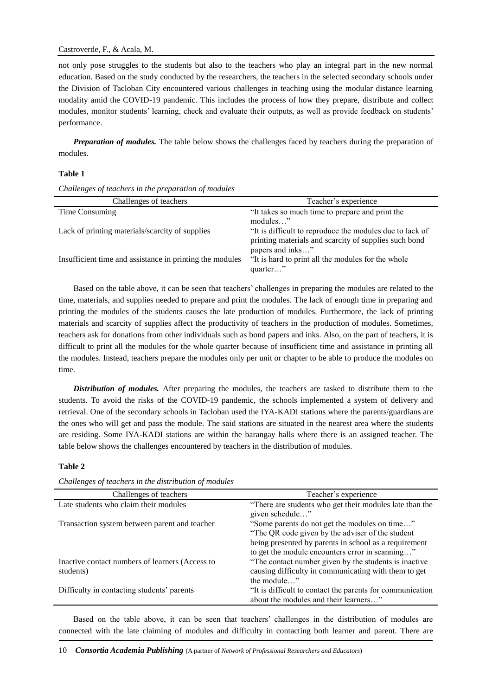not only pose struggles to the students but also to the teachers who play an integral part in the new normal education. Based on the study conducted by the researchers, the teachers in the selected secondary schools under the Division of Tacloban City encountered various challenges in teaching using the modular distance learning modality amid the COVID-19 pandemic. This includes the process of how they prepare, distribute and collect modules, monitor students' learning, check and evaluate their outputs, as well as provide feedback on students' performance.

*Preparation of modules.* The table below shows the challenges faced by teachers during the preparation of modules.

## **Table 1**

*Challenges of teachers in the preparation of modules*

| Challenges of teachers                                   | Teacher's experience                                                                                                          |
|----------------------------------------------------------|-------------------------------------------------------------------------------------------------------------------------------|
| Time Consuming                                           | "It takes so much time to prepare and print the                                                                               |
| Lack of printing materials/scarcity of supplies          | modules"<br>"It is difficult to reproduce the modules due to lack of<br>printing materials and scarcity of supplies such bond |
| Insufficient time and assistance in printing the modules | papers and inks"<br>"It is hard to print all the modules for the whole<br>quarter"                                            |

Based on the table above, it can be seen that teachers' challenges in preparing the modules are related to the time, materials, and supplies needed to prepare and print the modules. The lack of enough time in preparing and printing the modules of the students causes the late production of modules. Furthermore, the lack of printing materials and scarcity of supplies affect the productivity of teachers in the production of modules. Sometimes, teachers ask for donations from other individuals such as bond papers and inks. Also, on the part of teachers, it is difficult to print all the modules for the whole quarter because of insufficient time and assistance in printing all the modules. Instead, teachers prepare the modules only per unit or chapter to be able to produce the modules on time.

*Distribution of modules.* After preparing the modules, the teachers are tasked to distribute them to the students. To avoid the risks of the COVID-19 pandemic, the schools implemented a system of delivery and retrieval. One of the secondary schools in Tacloban used the IYA-KADI stations where the parents/guardians are the ones who will get and pass the module. The said stations are situated in the nearest area where the students are residing. Some IYA-KADI stations are within the barangay halls where there is an assigned teacher. The table below shows the challenges encountered by teachers in the distribution of modules.

## **Table 2**

| Challenges of teachers                                       | Teacher's experience                                                                                                                                                                                          |
|--------------------------------------------------------------|---------------------------------------------------------------------------------------------------------------------------------------------------------------------------------------------------------------|
| Late students who claim their modules                        | "There are students who get their modules late than the<br>given schedule"                                                                                                                                    |
| Transaction system between parent and teacher                | "Some parents do not get the modules on time"<br>"The QR code given by the adviser of the student<br>being presented by parents in school as a requirement<br>to get the module encounters error in scanning" |
| Inactive contact numbers of learners (Access to<br>students) | "The contact number given by the students is inactive<br>causing difficulty in communicating with them to get<br>the module"                                                                                  |
| Difficulty in contacting students' parents                   | "It is difficult to contact the parents for communication<br>about the modules and their learners"                                                                                                            |

*Challenges of teachers in the distribution of modules*

Based on the table above, it can be seen that teachers' challenges in the distribution of modules are connected with the late claiming of modules and difficulty in contacting both learner and parent. There are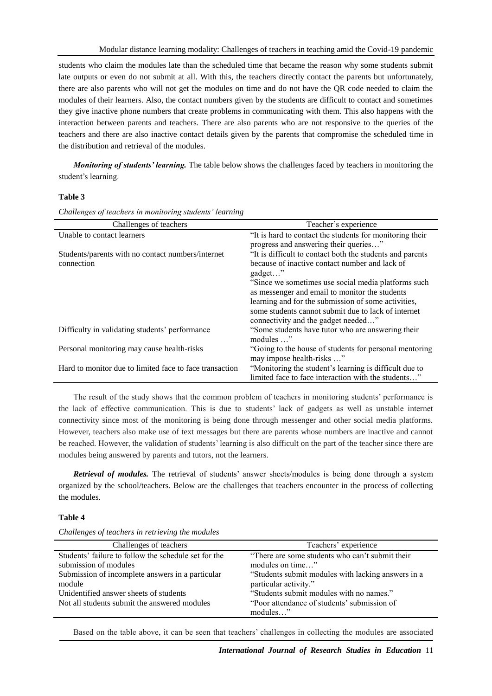students who claim the modules late than the scheduled time that became the reason why some students submit late outputs or even do not submit at all. With this, the teachers directly contact the parents but unfortunately, there are also parents who will not get the modules on time and do not have the QR code needed to claim the modules of their learners. Also, the contact numbers given by the students are difficult to contact and sometimes they give inactive phone numbers that create problems in communicating with them. This also happens with the interaction between parents and teachers. There are also parents who are not responsive to the queries of the teachers and there are also inactive contact details given by the parents that compromise the scheduled time in the distribution and retrieval of the modules.

*Monitoring of students' learning.* The table below shows the challenges faced by teachers in monitoring the student's learning.

## **Table 3**

| Challenges of teachers                                  | Teacher's experience                                      |
|---------------------------------------------------------|-----------------------------------------------------------|
| Unable to contact learners                              | "It is hard to contact the students for monitoring their  |
|                                                         | progress and answering their queries"                     |
| Students/parents with no contact numbers/internet       | "It is difficult to contact both the students and parents |
| connection                                              | because of inactive contact number and lack of            |
|                                                         | gadget"                                                   |
|                                                         | "Since we sometimes use social media platforms such       |
|                                                         | as messenger and email to monitor the students            |
|                                                         | learning and for the submission of some activities,       |
|                                                         | some students cannot submit due to lack of internet       |
|                                                         | connectivity and the gadget needed"                       |
| Difficulty in validating students' performance          | "Some students have tutor who are answering their         |
|                                                         | modules "                                                 |
| Personal monitoring may cause health-risks              | "Going to the house of students for personal mentoring    |
|                                                         | may impose health-risks "                                 |
| Hard to monitor due to limited face to face transaction | "Monitoring the student's learning is difficult due to    |
|                                                         | limited face to face interaction with the students"       |

*Challenges of teachers in monitoring students' learning*

The result of the study shows that the common problem of teachers in monitoring students' performance is the lack of effective communication. This is due to students' lack of gadgets as well as unstable internet connectivity since most of the monitoring is being done through messenger and other social media platforms. However, teachers also make use of text messages but there are parents whose numbers are inactive and cannot be reached. However, the validation of students' learning is also difficult on the part of the teacher since there are modules being answered by parents and tutors, not the learners.

*Retrieval of modules.* The retrieval of students' answer sheets/modules is being done through a system organized by the school/teachers. Below are the challenges that teachers encounter in the process of collecting the modules.

#### **Table 4**

| Challenges of teachers in retrieving the modules |  |  |  |  |  |  |  |  |  |
|--------------------------------------------------|--|--|--|--|--|--|--|--|--|
| Challenges of teachers                           |  |  |  |  |  |  |  |  |  |
|                                                  |  |  |  |  |  |  |  |  |  |

| Challenges of teachers                                                                 | Teachers' experience                                                                                |
|----------------------------------------------------------------------------------------|-----------------------------------------------------------------------------------------------------|
| Students' failure to follow the schedule set for the                                   | "There are some students who can't submit their                                                     |
| submission of modules                                                                  | modules on time"                                                                                    |
| Submission of incomplete answers in a particular                                       | "Students submit modules with lacking answers in a                                                  |
| module                                                                                 | particular activity."                                                                               |
| Unidentified answer sheets of students<br>Not all students submit the answered modules | "Students submit modules with no names."<br>"Poor attendance of students' submission of<br>modules" |

Based on the table above, it can be seen that teachers' challenges in collecting the modules are associated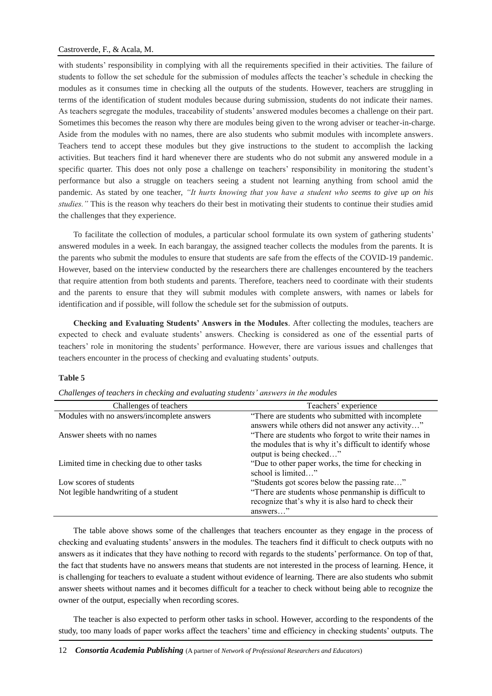## Castroverde, F., & Acala, M.

with students' responsibility in complying with all the requirements specified in their activities. The failure of students to follow the set schedule for the submission of modules affects the teacher's schedule in checking the modules as it consumes time in checking all the outputs of the students. However, teachers are struggling in terms of the identification of student modules because during submission, students do not indicate their names. As teachers segregate the modules, traceability of students' answered modules becomes a challenge on their part. Sometimes this becomes the reason why there are modules being given to the wrong adviser or teacher-in-charge. Aside from the modules with no names, there are also students who submit modules with incomplete answers. Teachers tend to accept these modules but they give instructions to the student to accomplish the lacking activities. But teachers find it hard whenever there are students who do not submit any answered module in a specific quarter. This does not only pose a challenge on teachers' responsibility in monitoring the student's performance but also a struggle on teachers seeing a student not learning anything from school amid the pandemic. As stated by one teacher, *"It hurts knowing that you have a student who seems to give up on his studies."* This is the reason why teachers do their best in motivating their students to continue their studies amid the challenges that they experience.

To facilitate the collection of modules, a particular school formulate its own system of gathering students' answered modules in a week. In each barangay, the assigned teacher collects the modules from the parents. It is the parents who submit the modules to ensure that students are safe from the effects of the COVID-19 pandemic. However, based on the interview conducted by the researchers there are challenges encountered by the teachers that require attention from both students and parents. Therefore, teachers need to coordinate with their students and the parents to ensure that they will submit modules with complete answers, with names or labels for identification and if possible, will follow the schedule set for the submission of outputs.

**Checking and Evaluating Students' Answers in the Modules**. After collecting the modules, teachers are expected to check and evaluate students' answers. Checking is considered as one of the essential parts of teachers' role in monitoring the students' performance. However, there are various issues and challenges that teachers encounter in the process of checking and evaluating students' outputs.

## **Table 5**

| Challenges of teachers                      | Teachers' experience                                     |
|---------------------------------------------|----------------------------------------------------------|
| Modules with no answers/incomplete answers  | "There are students who submitted with incomplete        |
|                                             | answers while others did not answer any activity"        |
| Answer sheets with no names                 | "There are students who forgot to write their names in   |
|                                             | the modules that is why it's difficult to identify whose |
|                                             | output is being checked"                                 |
| Limited time in checking due to other tasks | "Due to other paper works, the time for checking in      |
|                                             | school is limited"                                       |
| Low scores of students                      | "Students got scores below the passing rate"             |
| Not legible handwriting of a student        | "There are students whose penmanship is difficult to     |
|                                             | recognize that's why it is also hard to check their      |
|                                             | answers"                                                 |

*Challenges of teachers in checking and evaluating students' answers in the modules*

The table above shows some of the challenges that teachers encounter as they engage in the process of checking and evaluating students' answers in the modules. The teachers find it difficult to check outputs with no answers as it indicates that they have nothing to record with regards to the students' performance. On top of that, the fact that students have no answers means that students are not interested in the process of learning. Hence, it is challenging for teachers to evaluate a student without evidence of learning. There are also students who submit answer sheets without names and it becomes difficult for a teacher to check without being able to recognize the owner of the output, especially when recording scores.

The teacher is also expected to perform other tasks in school. However, according to the respondents of the study, too many loads of paper works affect the teachers' time and efficiency in checking students' outputs. The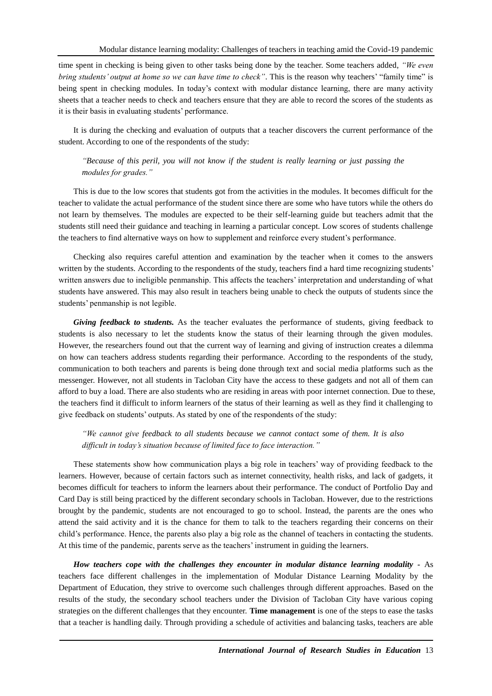time spent in checking is being given to other tasks being done by the teacher. Some teachers added, *"We even bring students' output at home so we can have time to check"*. This is the reason why teachers' "family time" is being spent in checking modules. In today's context with modular distance learning, there are many activity sheets that a teacher needs to check and teachers ensure that they are able to record the scores of the students as it is their basis in evaluating students' performance.

It is during the checking and evaluation of outputs that a teacher discovers the current performance of the student. According to one of the respondents of the study:

*"Because of this peril, you will not know if the student is really learning or just passing the modules for grades."*

This is due to the low scores that students got from the activities in the modules. It becomes difficult for the teacher to validate the actual performance of the student since there are some who have tutors while the others do not learn by themselves. The modules are expected to be their self-learning guide but teachers admit that the students still need their guidance and teaching in learning a particular concept. Low scores of students challenge the teachers to find alternative ways on how to supplement and reinforce every student's performance.

Checking also requires careful attention and examination by the teacher when it comes to the answers written by the students. According to the respondents of the study, teachers find a hard time recognizing students' written answers due to ineligible penmanship. This affects the teachers' interpretation and understanding of what students have answered. This may also result in teachers being unable to check the outputs of students since the students' penmanship is not legible.

*Giving feedback to students.* As the teacher evaluates the performance of students, giving feedback to students is also necessary to let the students know the status of their learning through the given modules. However, the researchers found out that the current way of learning and giving of instruction creates a dilemma on how can teachers address students regarding their performance. According to the respondents of the study, communication to both teachers and parents is being done through text and social media platforms such as the messenger. However, not all students in Tacloban City have the access to these gadgets and not all of them can afford to buy a load. There are also students who are residing in areas with poor internet connection. Due to these, the teachers find it difficult to inform learners of the status of their learning as well as they find it challenging to give feedback on students' outputs. As stated by one of the respondents of the study:

*"We cannot give feedback to all students because we cannot contact some of them. It is also difficult in today's situation because of limited face to face interaction."*

These statements show how communication plays a big role in teachers' way of providing feedback to the learners. However, because of certain factors such as internet connectivity, health risks, and lack of gadgets, it becomes difficult for teachers to inform the learners about their performance. The conduct of Portfolio Day and Card Day is still being practiced by the different secondary schools in Tacloban. However, due to the restrictions brought by the pandemic, students are not encouraged to go to school. Instead, the parents are the ones who attend the said activity and it is the chance for them to talk to the teachers regarding their concerns on their child's performance. Hence, the parents also play a big role as the channel of teachers in contacting the students. At this time of the pandemic, parents serve as the teachers' instrument in guiding the learners.

*How teachers cope with the challenges they encounter in modular distance learning modality -* As teachers face different challenges in the implementation of Modular Distance Learning Modality by the Department of Education, they strive to overcome such challenges through different approaches. Based on the results of the study, the secondary school teachers under the Division of Tacloban City have various coping strategies on the different challenges that they encounter. **Time management** is one of the steps to ease the tasks that a teacher is handling daily. Through providing a schedule of activities and balancing tasks, teachers are able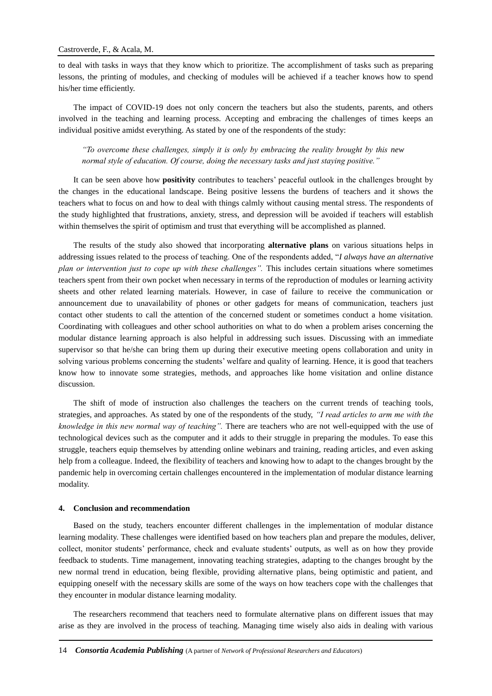to deal with tasks in ways that they know which to prioritize. The accomplishment of tasks such as preparing lessons, the printing of modules, and checking of modules will be achieved if a teacher knows how to spend his/her time efficiently.

The impact of COVID-19 does not only concern the teachers but also the students, parents, and others involved in the teaching and learning process. Accepting and embracing the challenges of times keeps an individual positive amidst everything. As stated by one of the respondents of the study:

*"To overcome these challenges, simply it is only by embracing the reality brought by this new normal style of education. Of course, doing the necessary tasks and just staying positive."*

It can be seen above how **positivity** contributes to teachers' peaceful outlook in the challenges brought by the changes in the educational landscape. Being positive lessens the burdens of teachers and it shows the teachers what to focus on and how to deal with things calmly without causing mental stress. The respondents of the study highlighted that frustrations, anxiety, stress, and depression will be avoided if teachers will establish within themselves the spirit of optimism and trust that everything will be accomplished as planned.

The results of the study also showed that incorporating **alternative plans** on various situations helps in addressing issues related to the process of teaching. One of the respondents added, "*I always have an alternative plan or intervention just to cope up with these challenges"*. This includes certain situations where sometimes teachers spent from their own pocket when necessary in terms of the reproduction of modules or learning activity sheets and other related learning materials. However, in case of failure to receive the communication or announcement due to unavailability of phones or other gadgets for means of communication, teachers just contact other students to call the attention of the concerned student or sometimes conduct a home visitation. Coordinating with colleagues and other school authorities on what to do when a problem arises concerning the modular distance learning approach is also helpful in addressing such issues. Discussing with an immediate supervisor so that he/she can bring them up during their executive meeting opens collaboration and unity in solving various problems concerning the students' welfare and quality of learning. Hence, it is good that teachers know how to innovate some strategies, methods, and approaches like home visitation and online distance discussion.

The shift of mode of instruction also challenges the teachers on the current trends of teaching tools, strategies, and approaches. As stated by one of the respondents of the study, *"I read articles to arm me with the knowledge in this new normal way of teaching".* There are teachers who are not well-equipped with the use of technological devices such as the computer and it adds to their struggle in preparing the modules. To ease this struggle, teachers equip themselves by attending online webinars and training, reading articles, and even asking help from a colleague. Indeed, the flexibility of teachers and knowing how to adapt to the changes brought by the pandemic help in overcoming certain challenges encountered in the implementation of modular distance learning modality.

#### **4. Conclusion and recommendation**

Based on the study, teachers encounter different challenges in the implementation of modular distance learning modality. These challenges were identified based on how teachers plan and prepare the modules, deliver, collect, monitor students' performance, check and evaluate students' outputs, as well as on how they provide feedback to students. Time management, innovating teaching strategies, adapting to the changes brought by the new normal trend in education, being flexible, providing alternative plans, being optimistic and patient, and equipping oneself with the necessary skills are some of the ways on how teachers cope with the challenges that they encounter in modular distance learning modality.

The researchers recommend that teachers need to formulate alternative plans on different issues that may arise as they are involved in the process of teaching. Managing time wisely also aids in dealing with various